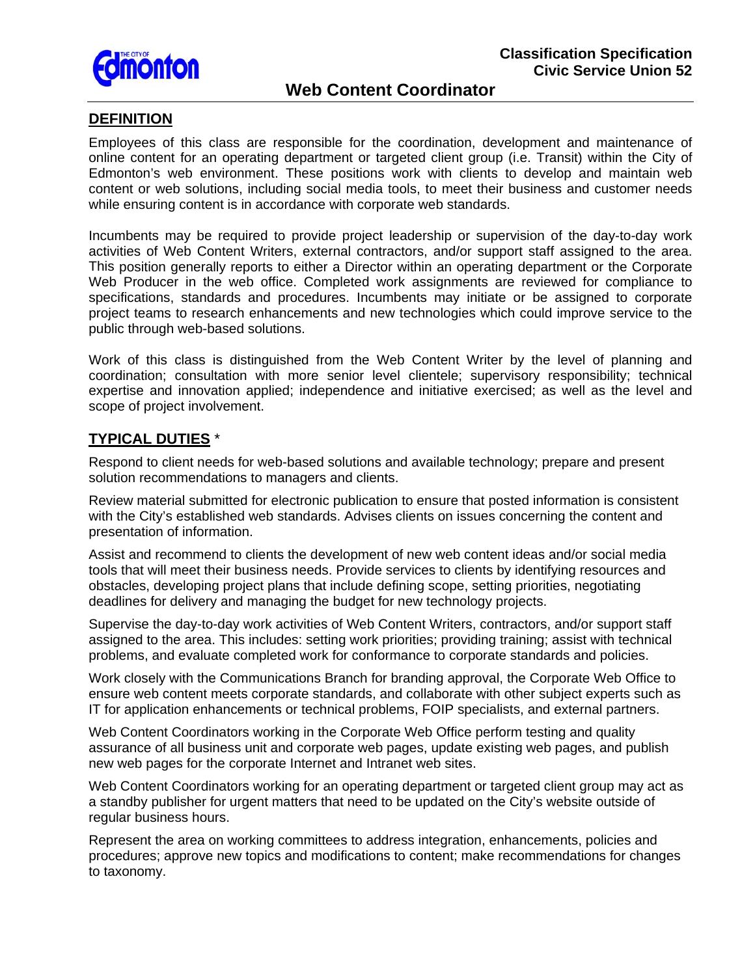

# **Web Content Coordinator**

### **DEFINITION**

Employees of this class are responsible for the coordination, development and maintenance of online content for an operating department or targeted client group (i.e. Transit) within the City of Edmonton's web environment. These positions work with clients to develop and maintain web content or web solutions, including social media tools, to meet their business and customer needs while ensuring content is in accordance with corporate web standards.

Web Producer in the web office. Completed work assignments are reviewed for compliance to specifications, standards and procedures. Incumbents may initiate or be assigned to corporate Incumbents may be required to provide project leadership or supervision of the day-to-day work activities of Web Content Writers, external contractors, and/or support staff assigned to the area. This position generally reports to either a Director within an operating department or the Corporate project teams to research enhancements and new technologies which could improve service to the public through web-based solutions.

Work of this class is distinguished from the Web Content Writer by the level of planning and coordination; consultation with more senior level clientele; supervisory responsibility; technical expertise and innovation applied; independence and initiative exercised; as well as the level and scope of project involvement.

#### **TYPICAL DUTIES** \*

Respond to client needs for web-based solutions and available technology; prepare and present solution recommendations to managers and clients.

Review material submitted for electronic publication to ensure that posted information is consistent with the City's established web standards. Advises clients on issues concerning the content and presentation of information.

obstacles, developing project plans that include defining scope, setting priorities, negotiating Assist and recommend to clients the development of new web content ideas and/or social media tools that will meet their business needs. Provide services to clients by identifying resources and deadlines for delivery and managing the budget for new technology projects.

Supervise the day-to-day work activities of Web Content Writers, contractors, and/or support staff assigned to the area. This includes: setting work priorities; providing training; assist with technical problems, and evaluate completed work for conformance to corporate standards and policies.

ensure web content meets corporate standards, and collaborate with other subject experts such as IT for application enhancements or technical problems, FOIP specialists, and external partners. Work closely with the Communications Branch for branding approval, the Corporate Web Office to

Web Content Coordinators working in the Corporate Web Office perform testing and quality assurance of all business unit and corporate web pages, update existing web pages, and publish new web pages for the corporate Internet and Intranet web sites.

a standby publisher for urgent matters that need to be updated on the City's website outside of regular business hours. Web Content Coordinators working for an operating department or targeted client group may act as

Represent the area on working committees to address integration, enhancements, policies and procedures; approve new topics and modifications to content; make recommendations for changes to taxonomy.